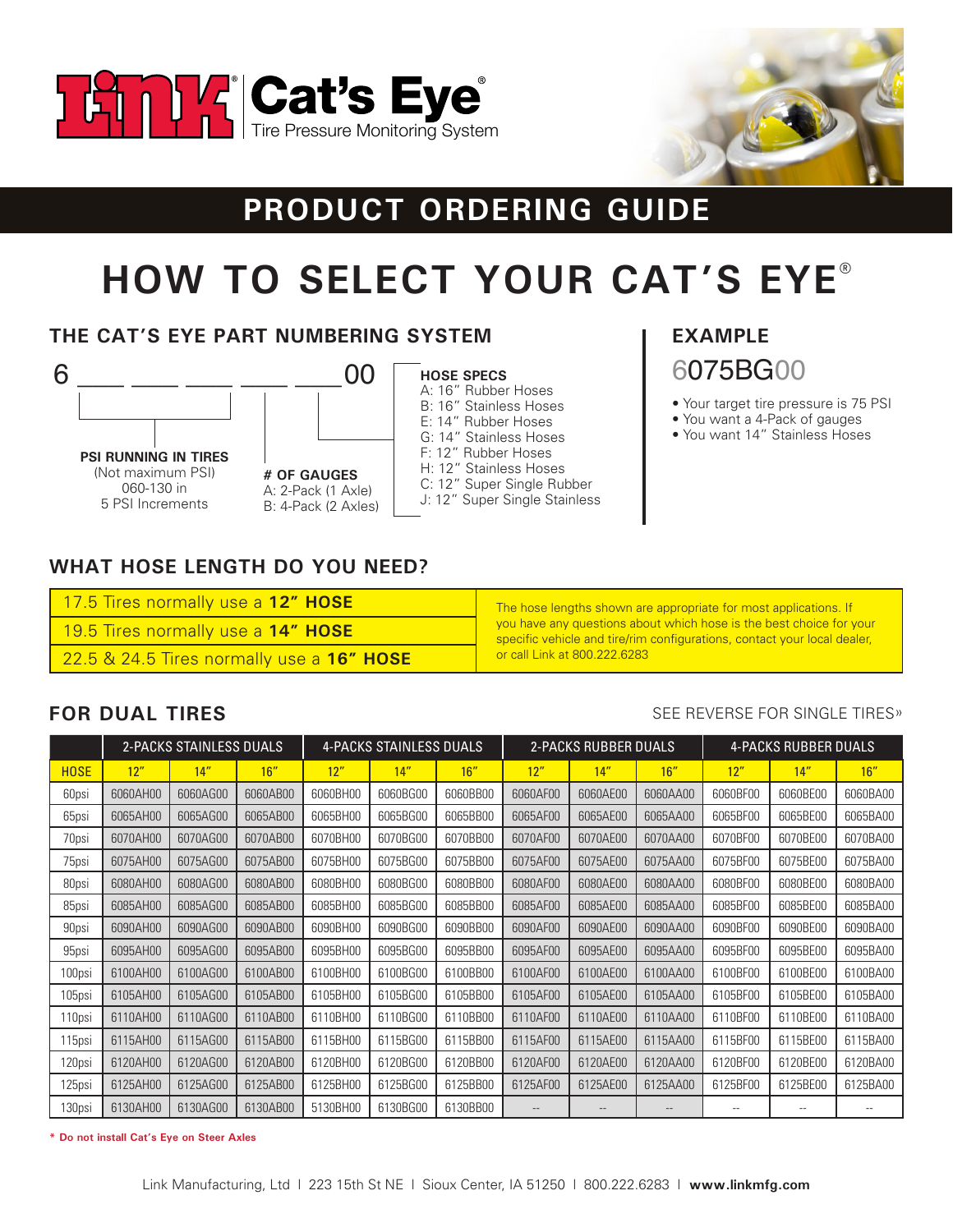



# PRODUCT ORDERING GUIDE

# **HOW TO SELECT YOUR CAT'S EYE<sup>®</sup>**

## THE CAT'S EYE PART NUMBERING SYSTEM



00 # OF GAUGES A: 2-Pack (1 Axle) B: 4-Pack (2 Axles)



J: 12" Super Single Stainless

# **EXAMPLE** 6075BG00

- Your target tire pressure is 75 PSI
- You want a 4-Pack of gauges
- You want 14" Stainless Hoses

## **WHAT HOSE LENGTH DO YOU NEED?**

| 17.5 Tires normally use a 12" HOSE |  |  |
|------------------------------------|--|--|
| 19.5 Tires normally use a 14" HOSE |  |  |

22.5 & 24.5 Tires normally use a 16" HOSE

The hose lengths shown are appropriate for most applications. If you have any questions about which hose is the best choice for your specific vehicle and tire/rim configurations, contact your local dealer, or call Link at 800.222.6283

## **FOR DUAL TIRES**

#### SEE REVERSE FOR SINGLE TIRES»

|             |          | 2-PACKS STAINLESS DUALS |          |          | 4-PACKS STAINLESS DUALS |          | <b>2-PACKS RUBBER DUALS</b> |                   | <b>4-PACKS RUBBER DUALS</b> |          |          |                          |
|-------------|----------|-------------------------|----------|----------|-------------------------|----------|-----------------------------|-------------------|-----------------------------|----------|----------|--------------------------|
| <b>HOSE</b> | 12"      | 14"                     | 16"      | 12"      | 14"                     | 16''     | 12"                         | 14''              | 16"                         | 12"      | 14''     | 16''                     |
| 60psi       | 6060AH00 | 6060AG00                | 6060AB00 | 6060BH00 | 6060BG00                | 6060BB00 | 6060AF00                    | 6060AE00          | 6060AA00                    | 6060BF00 | 6060BE00 | 6060BA00                 |
| 65psi       | 6065AH00 | 6065AG00                | 6065AB00 | 6065BH00 | 6065BG00                | 6065BB00 | 6065AF00                    | 6065AE00          | 6065AA00                    | 6065BF00 | 6065BE00 | 6065BA00                 |
| 70psi       | 6070AH00 | 6070AG00                | 6070AB00 | 6070BH00 | 6070BG00                | 6070BB00 | 6070AF00                    | 6070AE00          | 6070AA00                    | 6070BF00 | 6070BE00 | 6070BA00                 |
| 75psi       | 6075AH00 | 6075AG00                | 6075AB00 | 6075BH00 | 6075BG00                | 6075BB00 | 6075AF00                    | 6075AE00          | 6075AA00                    | 6075BF00 | 6075BE00 | 6075BA00                 |
| 80psi       | 6080AH00 | 6080AG00                | 6080AB00 | 6080BH00 | 6080BG00                | 6080BB00 | 6080AF00                    | 6080AE00          | 6080AA00                    | 6080BF00 | 6080BE00 | 6080BA00                 |
| 85psi       | 6085AH00 | 6085AG00                | 6085AB00 | 6085BH00 | 6085BG00                | 6085BB00 | 6085AF00                    | 6085AE00          | 6085AA00                    | 6085BF00 | 6085BE00 | 6085BA00                 |
| 90psi       | 6090AH00 | 6090AG00                | 6090AB00 | 6090BH00 | 6090BG00                | 6090BB00 | 6090AF00                    | 6090AE00          | 6090AA00                    | 6090BF00 | 6090BE00 | 6090BA00                 |
| 95psi       | 6095AH00 | 6095AG00                | 6095AB00 | 6095BH00 | 6095BG00                | 6095BB00 | 6095AF00                    | 6095AE00          | 6095AA00                    | 6095BF00 | 6095BE00 | 6095BA00                 |
| 100psi      | 6100AH00 | 6100AG00                | 6100AB00 | 6100BH00 | 6100BG00                | 6100BB00 | 6100AF00                    | 6100AE00          | 6100AA00                    | 6100BF00 | 6100BE00 | 6100BA00                 |
| 105psi      | 6105AH00 | 6105AG00                | 6105AB00 | 6105BH00 | 6105BG00                | 6105BB00 | 6105AF00                    | 6105AE00          | 6105AA00                    | 6105BF00 | 6105BE00 | 6105BA00                 |
| 110psi      | 6110AH00 | 6110AG00                | 6110AB00 | 6110BH00 | 6110BG00                | 6110BB00 | 6110AF00                    | 6110AE00          | 6110AA00                    | 6110BF00 | 6110BE00 | 6110BA00                 |
| 115psi      | 6115AH00 | 6115AG00                | 6115AB00 | 6115BH00 | 6115BG00                | 6115BB00 | 6115AF00                    | 6115AE00          | 6115AA00                    | 6115BF00 | 6115BE00 | 6115BA00                 |
| 120psi      | 6120AH00 | 6120AG00                | 6120AB00 | 6120BH00 | 6120BG00                | 6120BB00 | 6120AF00                    | 6120AE00          | 6120AA00                    | 6120BF00 | 6120BE00 | 6120BA00                 |
| 125psi      | 6125AH00 | 6125AG00                | 6125AB00 | 6125BH00 | 6125BG00                | 6125BB00 | 6125AF00                    | 6125AE00          | 6125AA00                    | 6125BF00 | 6125BE00 | 6125BA00                 |
| 130psi      | 6130AH00 | 6130AG00                | 6130AB00 | 5130BH00 | 6130BG00                | 6130BB00 | $\qquad \qquad -$           | $\qquad \qquad -$ | $\qquad \qquad -$           |          |          | $\overline{\phantom{m}}$ |

\* Do not install Cat's Eye on Steer Axles